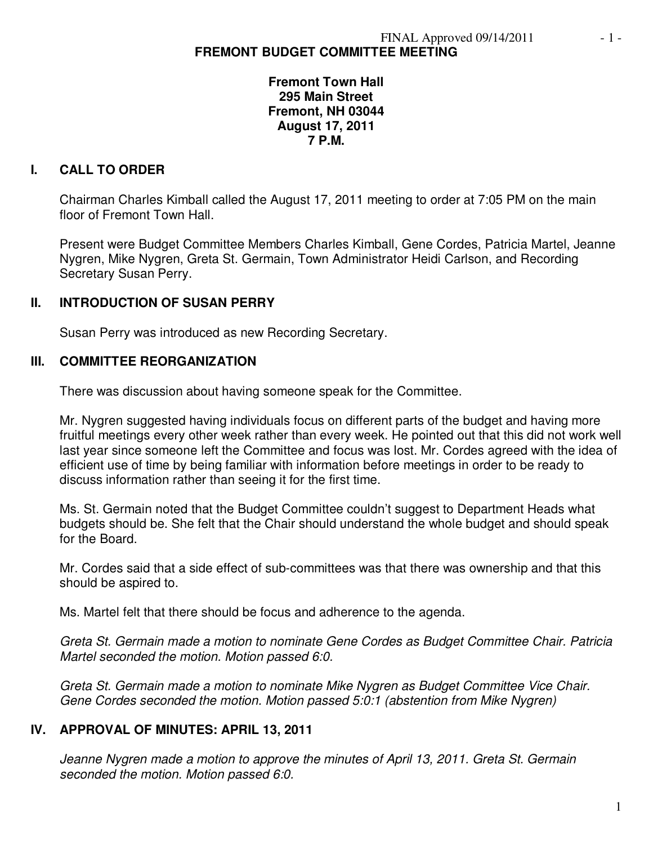### **Fremont Town Hall 295 Main Street Fremont, NH 03044 August 17, 2011 7 P.M.**

# **I. CALL TO ORDER**

Chairman Charles Kimball called the August 17, 2011 meeting to order at 7:05 PM on the main floor of Fremont Town Hall.

Present were Budget Committee Members Charles Kimball, Gene Cordes, Patricia Martel, Jeanne Nygren, Mike Nygren, Greta St. Germain, Town Administrator Heidi Carlson, and Recording Secretary Susan Perry.

## **II. INTRODUCTION OF SUSAN PERRY**

Susan Perry was introduced as new Recording Secretary.

### **III. COMMITTEE REORGANIZATION**

There was discussion about having someone speak for the Committee.

Mr. Nygren suggested having individuals focus on different parts of the budget and having more fruitful meetings every other week rather than every week. He pointed out that this did not work well last year since someone left the Committee and focus was lost. Mr. Cordes agreed with the idea of efficient use of time by being familiar with information before meetings in order to be ready to discuss information rather than seeing it for the first time.

Ms. St. Germain noted that the Budget Committee couldn't suggest to Department Heads what budgets should be. She felt that the Chair should understand the whole budget and should speak for the Board.

Mr. Cordes said that a side effect of sub-committees was that there was ownership and that this should be aspired to.

Ms. Martel felt that there should be focus and adherence to the agenda.

*Greta St. Germain made a motion to nominate Gene Cordes as Budget Committee Chair. Patricia Martel seconded the motion. Motion passed 6:0.* 

*Greta St. Germain made a motion to nominate Mike Nygren as Budget Committee Vice Chair. Gene Cordes seconded the motion. Motion passed 5:0:1 (abstention from Mike Nygren)*

## **IV. APPROVAL OF MINUTES: APRIL 13, 2011**

*Jeanne Nygren made a motion to approve the minutes of April 13, 2011. Greta St. Germain seconded the motion. Motion passed 6:0.*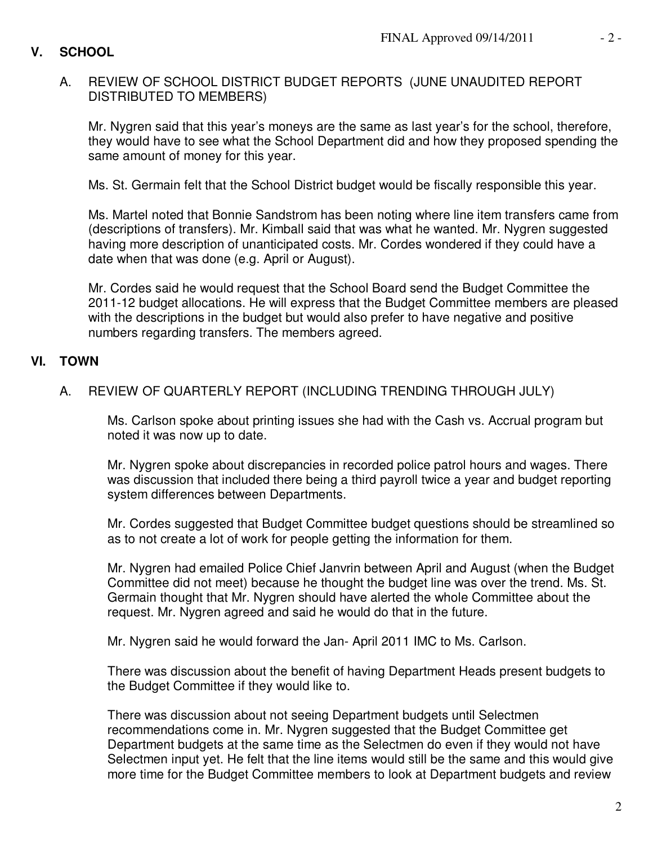## **V. SCHOOL**

## A. REVIEW OF SCHOOL DISTRICT BUDGET REPORTS (JUNE UNAUDITED REPORT DISTRIBUTED TO MEMBERS)

Mr. Nygren said that this year's moneys are the same as last year's for the school, therefore, they would have to see what the School Department did and how they proposed spending the same amount of money for this year.

Ms. St. Germain felt that the School District budget would be fiscally responsible this year.

Ms. Martel noted that Bonnie Sandstrom has been noting where line item transfers came from (descriptions of transfers). Mr. Kimball said that was what he wanted. Mr. Nygren suggested having more description of unanticipated costs. Mr. Cordes wondered if they could have a date when that was done (e.g. April or August).

Mr. Cordes said he would request that the School Board send the Budget Committee the 2011-12 budget allocations. He will express that the Budget Committee members are pleased with the descriptions in the budget but would also prefer to have negative and positive numbers regarding transfers. The members agreed.

### **VI. TOWN**

## A. REVIEW OF QUARTERLY REPORT (INCLUDING TRENDING THROUGH JULY)

Ms. Carlson spoke about printing issues she had with the Cash vs. Accrual program but noted it was now up to date.

Mr. Nygren spoke about discrepancies in recorded police patrol hours and wages. There was discussion that included there being a third payroll twice a year and budget reporting system differences between Departments.

Mr. Cordes suggested that Budget Committee budget questions should be streamlined so as to not create a lot of work for people getting the information for them.

Mr. Nygren had emailed Police Chief Janvrin between April and August (when the Budget Committee did not meet) because he thought the budget line was over the trend. Ms. St. Germain thought that Mr. Nygren should have alerted the whole Committee about the request. Mr. Nygren agreed and said he would do that in the future.

Mr. Nygren said he would forward the Jan- April 2011 IMC to Ms. Carlson.

There was discussion about the benefit of having Department Heads present budgets to the Budget Committee if they would like to.

There was discussion about not seeing Department budgets until Selectmen recommendations come in. Mr. Nygren suggested that the Budget Committee get Department budgets at the same time as the Selectmen do even if they would not have Selectmen input yet. He felt that the line items would still be the same and this would give more time for the Budget Committee members to look at Department budgets and review